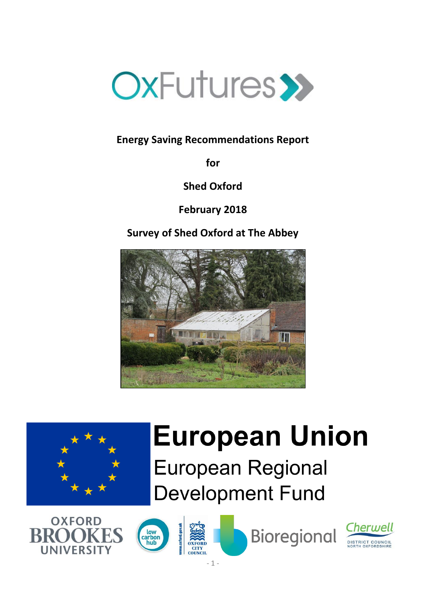

# **Energy Saving Recommendations Report**

**for**

**Shed Oxford**

**February 2018**

**Survey of Shed Oxford at The Abbey**





# **European Union**

**European Regional Development Fund** 





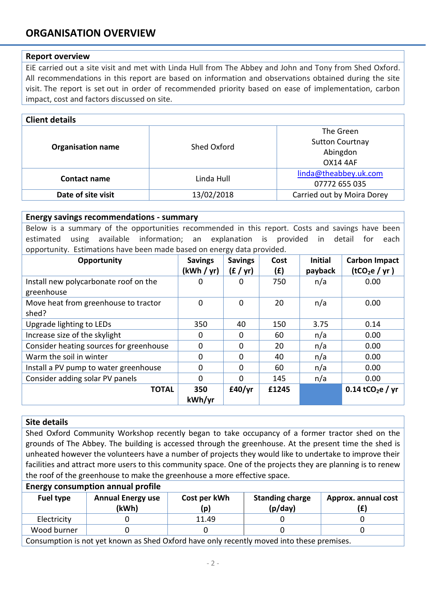## **ORGANISATION OVERVIEW**

## **Report overview**

EiE carried out a site visit and met with Linda Hull from The Abbey and John and Tony from Shed Oxford. All recommendations in this report are based on information and observations obtained during the site visit. The report is set out in order of recommended priority based on ease of implementation, carbon impact, cost and factors discussed on site.

| <b>Client details</b>    |             |                                                                    |  |
|--------------------------|-------------|--------------------------------------------------------------------|--|
| <b>Organisation name</b> | Shed Oxford | The Green<br><b>Sutton Courtnay</b><br>Abingdon<br><b>OX14 4AF</b> |  |
| Contact name             | Linda Hull  | linda@theabbey.uk.com<br>07772 655 035                             |  |
| Date of site visit       | 13/02/2018  | Carried out by Moira Dorey                                         |  |

#### **Energy savings recommendations - summary**

Below is a summary of the opportunities recommended in this report. Costs and savings have been estimated using available information; an explanation is provided in detail for each opportunity. Estimations have been made based on energy data provided.

| Opportunity                             | <b>Savings</b> | <b>Savings</b> | Cost  | <b>Initial</b> | <b>Carbon Impact</b>           |
|-----------------------------------------|----------------|----------------|-------|----------------|--------------------------------|
|                                         | (kWh / yr)     | (f / yr)       | (E)   | payback        | (tCO <sub>2</sub> e / yr)      |
| Install new polycarbonate roof on the   | 0              | 0              | 750   | n/a            | 0.00                           |
| greenhouse                              |                |                |       |                |                                |
| Move heat from greenhouse to tractor    | $\overline{0}$ | $\mathbf 0$    | 20    | n/a            | 0.00                           |
| shed?                                   |                |                |       |                |                                |
| Upgrade lighting to LEDs                | 350            | 40             | 150   | 3.75           | 0.14                           |
| Increase size of the skylight           | 0              | 0              | 60    | n/a            | 0.00                           |
| Consider heating sources for greenhouse | 0              | 0              | 20    | n/a            | 0.00                           |
| Warm the soil in winter                 | 0              | 0              | 40    | n/a            | 0.00                           |
| Install a PV pump to water greenhouse   | 0              | $\Omega$       | 60    | n/a            | 0.00                           |
| Consider adding solar PV panels         | $\Omega$       | 0              | 145   | n/a            | 0.00                           |
| <b>TOTAL</b>                            | 350            | £40/yr         | £1245 |                | $0.14$ tCO <sub>2</sub> e / yr |
|                                         | kWh/yr         |                |       |                |                                |

## **Site details**

Shed Oxford Community Workshop recently began to take occupancy of a former tractor shed on the grounds of The Abbey. The building is accessed through the greenhouse. At the present time the shed is unheated however the volunteers have a number of projects they would like to undertake to improve their facilities and attract more users to this community space. One of the projects they are planning is to renew the roof of the greenhouse to make the greenhouse a more effective space.

#### **Energy consumption annual profile**

| --          |                                   |                     |                                   |                     |
|-------------|-----------------------------------|---------------------|-----------------------------------|---------------------|
| Fuel type   | <b>Annual Energy use</b><br>(kWh) | Cost per kWh<br>(p) | <b>Standing charge</b><br>(p/day) | Approx. annual cost |
| Electricity |                                   | 11.49               |                                   |                     |
| Wood burner |                                   |                     |                                   |                     |
|             |                                   | _ _ _ _ _ _ _ _ _   | $\sim$ $\sim$                     |                     |

Consumption is not yet known as Shed Oxford have only recently moved into these premises.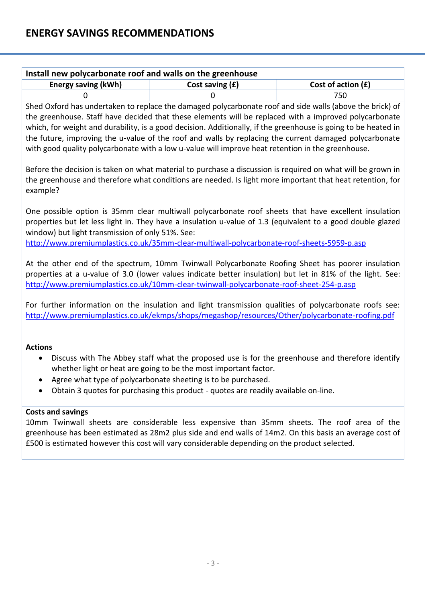| Install new polycarbonate roof and walls on the greenhouse |                   |                      |  |
|------------------------------------------------------------|-------------------|----------------------|--|
| <b>Energy saving (kWh)</b>                                 | Cost saving $(f)$ | Cost of action $(f)$ |  |
|                                                            |                   | 750                  |  |

Shed Oxford has undertaken to replace the damaged polycarbonate roof and side walls (above the brick) of the greenhouse. Staff have decided that these elements will be replaced with a improved polycarbonate which, for weight and durability, is a good decision. Additionally, if the greenhouse is going to be heated in the future, improving the u-value of the roof and walls by replacing the current damaged polycarbonate with good quality polycarbonate with a low u-value will improve heat retention in the greenhouse.

Before the decision is taken on what material to purchase a discussion is required on what will be grown in the greenhouse and therefore what conditions are needed. Is light more important that heat retention, for example?

One possible option is 35mm clear multiwall polycarbonate roof sheets that have excellent insulation properties but let less light in. They have a insulation u-value of 1.3 (equivalent to a good double glazed window) but light transmission of only 51%. See:

<http://www.premiumplastics.co.uk/35mm-clear-multiwall-polycarbonate-roof-sheets-5959-p.asp>

At the other end of the spectrum, 10mm Twinwall Polycarbonate Roofing Sheet has poorer insulation properties at a u-value of 3.0 (lower values indicate better insulation) but let in 81% of the light. See: <http://www.premiumplastics.co.uk/10mm-clear-twinwall-polycarbonate-roof-sheet-254-p.asp>

For further information on the insulation and light transmission qualities of polycarbonate roofs see: <http://www.premiumplastics.co.uk/ekmps/shops/megashop/resources/Other/polycarbonate-roofing.pdf>

## **Actions**

- Discuss with The Abbey staff what the proposed use is for the greenhouse and therefore identify whether light or heat are going to be the most important factor.
- Agree what type of polycarbonate sheeting is to be purchased.
- Obtain 3 quotes for purchasing this product quotes are readily available on-line.

## **Costs and savings**

10mm Twinwall sheets are considerable less expensive than 35mm sheets. The roof area of the greenhouse has been estimated as 28m2 plus side and end walls of 14m2. On this basis an average cost of £500 is estimated however this cost will vary considerable depending on the product selected.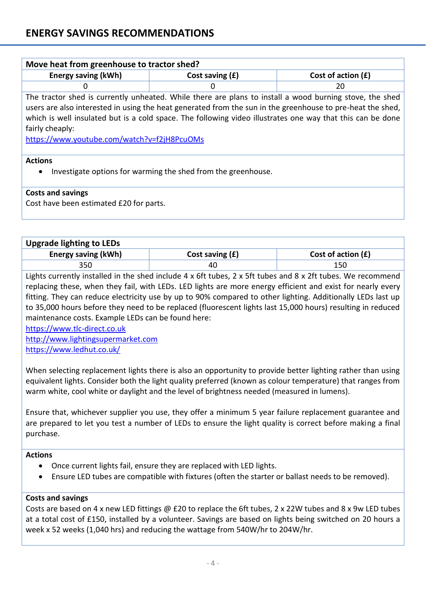| Move heat from greenhouse to tractor shed?                                                                                                                                                                                                                                                                                                                                                            |                   |                      |  |
|-------------------------------------------------------------------------------------------------------------------------------------------------------------------------------------------------------------------------------------------------------------------------------------------------------------------------------------------------------------------------------------------------------|-------------------|----------------------|--|
| <b>Energy saving (kWh)</b>                                                                                                                                                                                                                                                                                                                                                                            | Cost saving $(f)$ | Cost of action $(f)$ |  |
| 0                                                                                                                                                                                                                                                                                                                                                                                                     | 0                 | 20                   |  |
| The tractor shed is currently unheated. While there are plans to install a wood burning stove, the shed<br>users are also interested in using the heat generated from the sun in the greenhouse to pre-heat the shed,<br>which is well insulated but is a cold space. The following video illustrates one way that this can be done<br>fairly cheaply:<br>https://www.youtube.com/watch?v=f2jH8PcuOMs |                   |                      |  |
| <b>Actions</b><br>Investigate options for warming the shed from the greenhouse.<br>$\bullet$                                                                                                                                                                                                                                                                                                          |                   |                      |  |

## **Costs and savings**

Cost have been estimated £20 for parts.

| <b>Upgrade lighting to LEDs</b> |                   |                      |
|---------------------------------|-------------------|----------------------|
| <b>Energy saving (kWh)</b>      | Cost saving $(f)$ | Cost of action $(E)$ |
| 350                             | 40                | 150                  |

Lights currently installed in the shed include 4 x 6ft tubes, 2 x 5ft tubes and 8 x 2ft tubes. We recommend replacing these, when they fail, with LEDs. LED lights are more energy efficient and exist for nearly every fitting. They can reduce electricity use by up to 90% compared to other lighting. Additionally LEDs last up to 35,000 hours before they need to be replaced (fluorescent lights last 15,000 hours) resulting in reduced maintenance costs. Example LEDs can be found here:

[https://www.tlc-direct.co.uk](https://www.tlc-direct.co.uk/)

[http://www.lightingsupermarket.com](http://www.lightingsupermarket.com/)

<https://www.ledhut.co.uk/>

When selecting replacement lights there is also an opportunity to provide better lighting rather than using equivalent lights. Consider both the light quality preferred (known as colour temperature) that ranges from warm white, cool white or daylight and the level of brightness needed (measured in lumens).

Ensure that, whichever supplier you use, they offer a minimum 5 year failure replacement guarantee and are prepared to let you test a number of LEDs to ensure the light quality is correct before making a final purchase.

## **Actions**

- Once current lights fail, ensure they are replaced with LED lights.
- Ensure LED tubes are compatible with fixtures (often the starter or ballast needs to be removed).

## **Costs and savings**

Costs are based on 4 x new LED fittings @ £20 to replace the 6ft tubes, 2 x 22W tubes and 8 x 9w LED tubes at a total cost of £150, installed by a volunteer. Savings are based on lights being switched on 20 hours a week x 52 weeks (1,040 hrs) and reducing the wattage from 540W/hr to 204W/hr.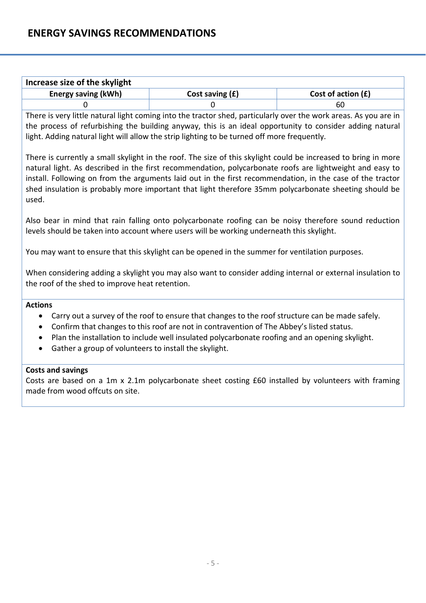| Increase size of the skylight |                   |                      |
|-------------------------------|-------------------|----------------------|
| <b>Energy saving (kWh)</b>    | Cost saving $(f)$ | Cost of action $(f)$ |
|                               |                   | 60                   |

There is very little natural light coming into the tractor shed, particularly over the work areas. As you are in the process of refurbishing the building anyway, this is an ideal opportunity to consider adding natural light. Adding natural light will allow the strip lighting to be turned off more frequently.

There is currently a small skylight in the roof. The size of this skylight could be increased to bring in more natural light. As described in the first recommendation, polycarbonate roofs are lightweight and easy to install. Following on from the arguments laid out in the first recommendation, in the case of the tractor shed insulation is probably more important that light therefore 35mm polycarbonate sheeting should be used.

Also bear in mind that rain falling onto polycarbonate roofing can be noisy therefore sound reduction levels should be taken into account where users will be working underneath this skylight.

You may want to ensure that this skylight can be opened in the summer for ventilation purposes.

When considering adding a skylight you may also want to consider adding internal or external insulation to the roof of the shed to improve heat retention.

## **Actions**

- Carry out a survey of the roof to ensure that changes to the roof structure can be made safely.
- Confirm that changes to this roof are not in contravention of The Abbey's listed status.
- Plan the installation to include well insulated polycarbonate roofing and an opening skylight.
- Gather a group of volunteers to install the skylight.

## **Costs and savings**

Costs are based on a 1m x 2.1m polycarbonate sheet costing £60 installed by volunteers with framing made from wood offcuts on site.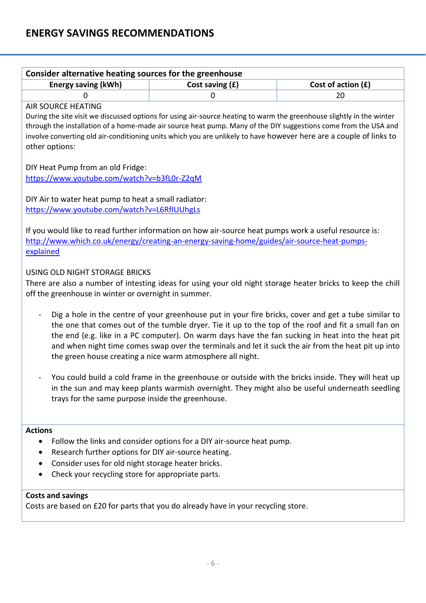| Consider alternative heating sources for the greenhouse |                   |                      |  |
|---------------------------------------------------------|-------------------|----------------------|--|
| <b>Energy saving (kWh)</b>                              | Cost saving $(f)$ | Cost of action $(f)$ |  |
|                                                         |                   |                      |  |

## AIR SOURCE HEATING

During the site visit we discussed options for using air-source heating to warm the greenhouse slightly in the winter through the installation of a home-made air source heat pump. Many of the DIY suggestions come from the USA and involve converting old air-conditioning units which you are unlikely to have however here are a couple of links to other options:

DIY Heat Pump from an old Fridge:

<https://www.youtube.com/watch?v=b3fL0r-Z2qM>

DIY Air to water heat pump to heat a small radiator: <https://www.youtube.com/watch?v=L6RfIUUhgLs>

If you would like to read further information on how air-source heat pumps work a useful resource is: [http://www.which.co.uk/energy/creating-an-energy-saving-home/guides/air-source-heat-pumps](http://www.which.co.uk/energy/creating-an-energy-saving-home/guides/air-source-heat-pumps-explained)[explained](http://www.which.co.uk/energy/creating-an-energy-saving-home/guides/air-source-heat-pumps-explained)

## USING OLD NIGHT STORAGE BRICKS

There are also a number of intesting ideas for using your old night storage heater bricks to keep the chill off the greenhouse in winter or overnight in summer.

- Dig a hole in the centre of your greenhouse put in your fire bricks, cover and get a tube similar to the one that comes out of the tumble dryer. Tie it up to the top of the roof and fit a small fan on the end (e.g. like in a PC computer). On warm days have the fan sucking in heat into the heat pit and when night time comes swap over the terminals and let it suck the air from the heat pit up into the green house creating a nice warm atmosphere all night.
- You could build a cold frame in the greenhouse or outside with the bricks inside. They will heat up in the sun and may keep plants warmish overnight. They might also be useful underneath seedling trays for the same purpose inside the greenhouse.

#### **Actions**

- Follow the links and consider options for a DIY air-source heat pump.
- Research further options for DIY air-source heating.
- Consider uses for old night storage heater bricks.
- Check your recycling store for appropriate parts.

## **Costs and savings**

Costs are based on £20 for parts that you do already have in your recycling store.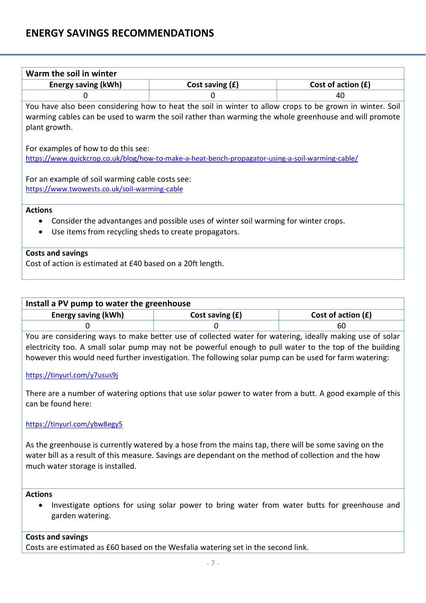| Warm the soil in winter                                                                                                                                                                                                            |                                                                                                  |                      |  |
|------------------------------------------------------------------------------------------------------------------------------------------------------------------------------------------------------------------------------------|--------------------------------------------------------------------------------------------------|----------------------|--|
| Energy saving (kWh)                                                                                                                                                                                                                | Cost saving $(f)$                                                                                | Cost of action $(f)$ |  |
| 0                                                                                                                                                                                                                                  | O                                                                                                | 40                   |  |
| You have also been considering how to heat the soil in winter to allow crops to be grown in winter. Soil<br>warming cables can be used to warm the soil rather than warming the whole greenhouse and will promote<br>plant growth. |                                                                                                  |                      |  |
| For examples of how to do this see:                                                                                                                                                                                                |                                                                                                  |                      |  |
|                                                                                                                                                                                                                                    | https://www.quickcrop.co.uk/blog/how-to-make-a-heat-bench-propagator-using-a-soil-warming-cable/ |                      |  |
| For an example of soil warming cable costs see:                                                                                                                                                                                    |                                                                                                  |                      |  |
| https://www.twowests.co.uk/soil-warming-cable                                                                                                                                                                                      |                                                                                                  |                      |  |
| <b>Actions</b>                                                                                                                                                                                                                     |                                                                                                  |                      |  |
| Consider the advantanges and possible uses of winter soil warming for winter crops.<br>٠                                                                                                                                           |                                                                                                  |                      |  |
| Use items from recycling sheds to create propagators.                                                                                                                                                                              |                                                                                                  |                      |  |
| <b>Costs and savings</b>                                                                                                                                                                                                           |                                                                                                  |                      |  |
| Cost of action is estimated at £40 based on a 20ft length.                                                                                                                                                                         |                                                                                                  |                      |  |

## **Install a PV pump to water the greenhouse**

| <b>Energy saving (kWh)</b> | Cost saving (£) | Cost of action $(f)$ |  |  |
|----------------------------|-----------------|----------------------|--|--|
|                            |                 |                      |  |  |

You are considering ways to make better use of collected water for watering, ideally making use of solar electricity too. A small solar pump may not be powerful enough to pull water to the top of the building however this would need further investigation. The following solar pump can be used for farm watering:

#### <https://tinyurl.com/y7usus9j>

There are a number of watering options that use solar power to water from a butt. A good example of this can be found here:

## <https://tinyurl.com/ybw8egy5>

As the greenhouse is currently watered by a hose from the mains tap, there will be some saving on the water bill as a result of this measure. Savings are dependant on the method of collection and the how much water storage is installed.

#### **Actions**

• Investigate options for using solar power to bring water from water butts for greenhouse and garden watering.

## **Costs and savings**

Costs are estimated as £60 based on the Wesfalia watering set in the second link.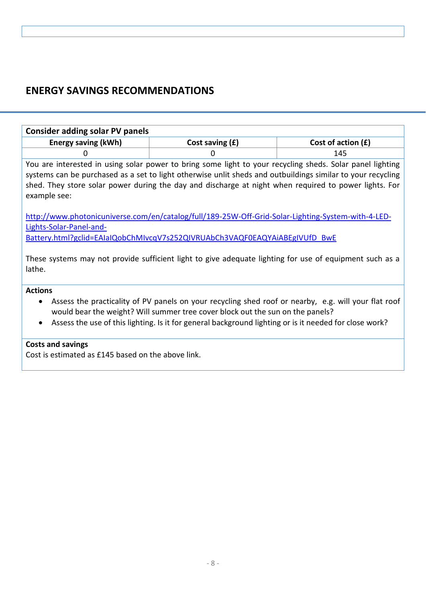| <b>Consider adding solar PV panels</b>                                                                  |                                                                                                             |                      |  |
|---------------------------------------------------------------------------------------------------------|-------------------------------------------------------------------------------------------------------------|----------------------|--|
| <b>Energy saving (kWh)</b>                                                                              | Cost saving $(f)$                                                                                           | Cost of action $(f)$ |  |
| 0                                                                                                       | 0                                                                                                           | 145                  |  |
|                                                                                                         | You are interested in using solar power to bring some light to your recycling sheds. Solar panel lighting   |                      |  |
|                                                                                                         | systems can be purchased as a set to light otherwise unlit sheds and outbuildings similar to your recycling |                      |  |
|                                                                                                         | shed. They store solar power during the day and discharge at night when required to power lights. For       |                      |  |
| example see:                                                                                            |                                                                                                             |                      |  |
|                                                                                                         |                                                                                                             |                      |  |
|                                                                                                         | http://www.photonicuniverse.com/en/catalog/full/189-25W-Off-Grid-Solar-Lighting-System-with-4-LED-          |                      |  |
| Lights-Solar-Panel-and-                                                                                 |                                                                                                             |                      |  |
| Battery.html?gclid=EAIaIQobChMIvcqV7s252QIVRUAbCh3VAQF0EAQYAiABEgIVUfD BwE                              |                                                                                                             |                      |  |
|                                                                                                         |                                                                                                             |                      |  |
| These systems may not provide sufficient light to give adequate lighting for use of equipment such as a |                                                                                                             |                      |  |
| lathe.                                                                                                  |                                                                                                             |                      |  |
|                                                                                                         |                                                                                                             |                      |  |
| <b>Actions</b>                                                                                          |                                                                                                             |                      |  |
| $\bullet$                                                                                               | Assess the practicality of PV panels on your recycling shed roof or nearby, e.g. will your flat roof        |                      |  |
|                                                                                                         | would bear the weight? Will summer tree cover block out the sun on the panels?                              |                      |  |
|                                                                                                         | Assess the use of this lighting. Is it for general background lighting or is it needed for close work?      |                      |  |

## **Costs and savings**

Cost is estimated as £145 based on the above link.